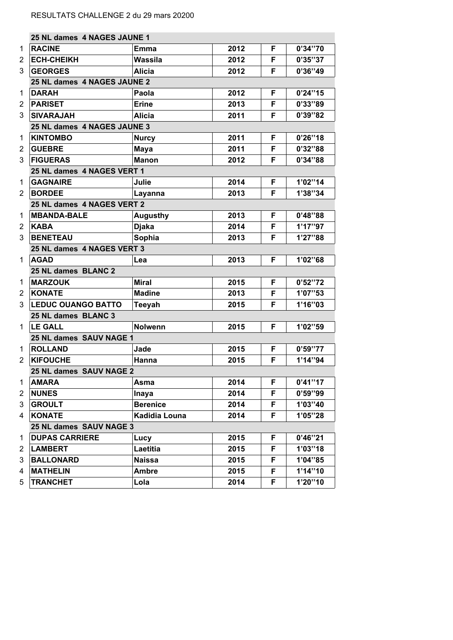|   | 25 NL dames 4 NAGES JAUNE 1 |                 |      |    |          |  |
|---|-----------------------------|-----------------|------|----|----------|--|
| 1 | <b>RACINE</b>               | Emma            | 2012 | F  | 0'34''70 |  |
| 2 | <b>ECH-CHEIKH</b>           | Wassila         | 2012 | F  | 0'35''37 |  |
| 3 | <b>GEORGES</b>              | <b>Alicia</b>   | 2012 | F  | 0'36''49 |  |
|   | 25 NL dames 4 NAGES JAUNE 2 |                 |      |    |          |  |
| 1 | <b>DARAH</b>                | Paola           | 2012 | F  | 0'24''15 |  |
| 2 | <b>PARISET</b>              | <b>Erine</b>    | 2013 | F  | 0'33"89  |  |
| 3 | <b>SIVARAJAH</b>            | <b>Alicia</b>   | 2011 | F  | 0'39''82 |  |
|   | 25 NL dames 4 NAGES JAUNE 3 |                 |      |    |          |  |
| 1 | <b>KINTOMBO</b>             | <b>Nurcy</b>    | 2011 | F  | 0'26''18 |  |
| 2 | <b>GUEBRE</b>               | <b>Maya</b>     | 2011 | F  | 0'32''88 |  |
| 3 | <b>FIGUERAS</b>             | <b>Manon</b>    | 2012 | F  | 0'34''88 |  |
|   | 25 NL dames 4 NAGES VERT 1  |                 |      |    |          |  |
| 1 | <b>GAGNAIRE</b>             | Julie           | 2014 | F  | 1'02''14 |  |
| 2 | <b>BORDEE</b>               | Layanna         | 2013 | F  | 1'38"34  |  |
|   | 25 NL dames 4 NAGES VERT 2  |                 |      |    |          |  |
| 1 | <b>MBANDA-BALE</b>          | <b>Augusthy</b> | 2013 | F  | 0'48''88 |  |
| 2 | <b>KABA</b>                 | <b>Djaka</b>    | 2014 | F  | 1'17''97 |  |
| 3 | <b>BENETEAU</b>             | Sophia          | 2013 | F  | 1'27"88  |  |
|   | 25 NL dames 4 NAGES VERT 3  |                 |      |    |          |  |
| 1 | <b>AGAD</b>                 | Lea             | 2013 | F  | 1'02"68  |  |
|   | 25 NL dames BLANC 2         |                 |      |    |          |  |
| 1 | <b>MARZOUK</b>              | <b>Miral</b>    | 2015 | F  | 0'52''72 |  |
| 2 | <b>KONATE</b>               | <b>Madine</b>   | 2013 | F  | 1'07"53  |  |
| 3 | <b>LEDUC OUANGO BATTO</b>   | <b>Teeyah</b>   | 2015 | F  | 1'16''03 |  |
|   | 25 NL dames BLANC 3         |                 |      |    |          |  |
| 1 | <b>LE GALL</b>              | <b>Nolwenn</b>  | 2015 | F  | 1'02"59  |  |
|   | 25 NL dames SAUV NAGE 1     |                 |      |    |          |  |
| 1 | <b>ROLLAND</b>              | Jade            | 2015 | F  | 0'59''77 |  |
| 2 | <b>KIFOUCHE</b>             | Hanna           | 2015 | F  | 1'14''94 |  |
|   | 25 NL dames SAUV NAGE 2     |                 |      |    |          |  |
| 1 | <b>AMARA</b>                | Asma            | 2014 | F  | 0'41''17 |  |
| 2 | <b>NUNES</b>                | Inaya           | 2014 | F. | 0'59''99 |  |
| 3 | <b>GROULT</b>               | <b>Berenice</b> | 2014 | F  | 1'03''40 |  |
| 4 | <b>KONATE</b>               | Kadidia Louna   | 2014 | F  | 1'05"28  |  |
|   | 25 NL dames SAUV NAGE 3     |                 |      |    |          |  |
| 1 | <b>DUPAS CARRIERE</b>       | Lucy            | 2015 | F  | 0'46''21 |  |
| 2 | <b>LAMBERT</b>              | Laetitia        | 2015 | F  | 1'03''18 |  |
| 3 | <b>BALLONARD</b>            | <b>Naissa</b>   | 2015 | F  | 1'04"85  |  |
| 4 | <b>MATHELIN</b>             | <b>Ambre</b>    | 2015 | F  | 1'14''10 |  |
| 5 | <b>TRANCHET</b>             | Lola            | 2014 | F  | 1'20"10  |  |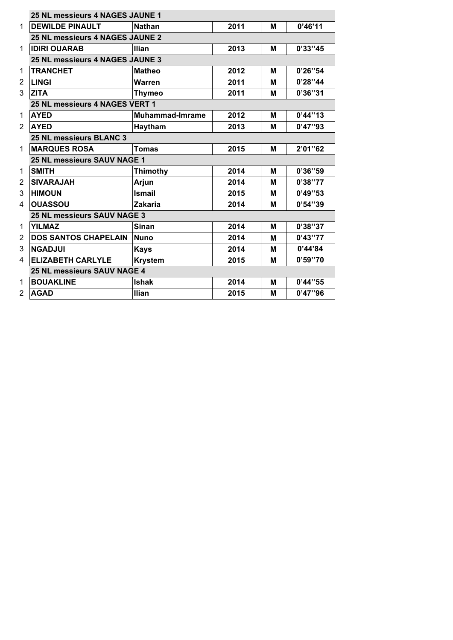|                | <b>25 NL messieurs 4 NAGES JAUNE 1</b> |                        |      |   |          |  |
|----------------|----------------------------------------|------------------------|------|---|----------|--|
| 1              | <b>DEWILDE PINAULT</b>                 | <b>Nathan</b>          | 2011 | М | 0'46'11  |  |
|                | 25 NL messieurs 4 NAGES JAUNE 2        |                        |      |   |          |  |
| 1              | <b>IDIRI OUARAB</b>                    | <b>Ilian</b>           | 2013 | М | 0'33''45 |  |
|                | 25 NL messieurs 4 NAGES JAUNE 3        |                        |      |   |          |  |
| 1              | <b>TRANCHET</b>                        | <b>Matheo</b>          | 2012 | М | 0'26''54 |  |
| $\overline{2}$ | <b>LINGI</b>                           | Warren                 | 2011 | М | 0'28''44 |  |
| 3              | <b>ZITA</b>                            | <b>Thymeo</b>          |      | М | 0'36''31 |  |
|                | 25 NL messieurs 4 NAGES VERT 1         |                        |      |   |          |  |
| 1              | <b>AYED</b>                            | <b>Muhammad-Imrame</b> | 2012 | М | 0'44''13 |  |
| $\overline{2}$ | <b>AYED</b><br>Haytham                 |                        | 2013 | М | 0'47''93 |  |
|                | 25 NL messieurs BLANC 3                |                        |      |   |          |  |
| 1              | <b>MARQUES ROSA</b>                    | Tomas                  | 2015 | М | 2'01"62  |  |
|                | <b>25 NL messieurs SAUV NAGE 1</b>     |                        |      |   |          |  |
| 1              | <b>SMITH</b>                           | <b>Thimothy</b>        | 2014 | M | 0'36''59 |  |
| $\overline{2}$ | <b>SIVARAJAH</b>                       | Arjun                  | 2014 | м | 0'38''77 |  |
| 3              | <b>HIMOUN</b>                          | <b>Ismail</b>          | 2015 | М | 0'49''53 |  |
| 4              | <b>OUASSOU</b><br><b>Zakaria</b>       |                        | 2014 | М | 0'54''39 |  |
|                | 25 NL messieurs SAUV NAGE 3            |                        |      |   |          |  |
| 1              | <b>YILMAZ</b>                          | <b>Sinan</b>           | 2014 | М | 0'38''37 |  |
| 2              | <b>DOS SANTOS CHAPELAIN</b>            | <b>Nuno</b>            | 2014 | Μ | 0'43''77 |  |
| 3              | <b>NGADJUI</b>                         | <b>Kays</b>            | 2014 | М | 0'44'84  |  |
| 4              | <b>ELIZABETH CARLYLE</b>               | <b>Krystem</b>         | 2015 | М | 0'59''70 |  |
|                | 25 NL messieurs SAUV NAGE 4            |                        |      |   |          |  |
| 1              | <b>BOUAKLINE</b>                       | <b>Ishak</b>           | 2014 | М | 0'44''55 |  |
| 2              | <b>AGAD</b>                            | <b>Ilian</b>           | 2015 | Μ | 0'47''96 |  |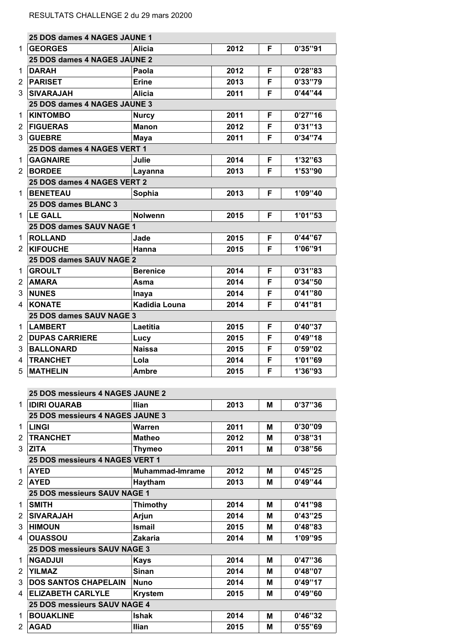| 25 DOS dames 4 NAGES JAUNE 1        |                        |      |   |          |
|-------------------------------------|------------------------|------|---|----------|
| <b>GEORGES</b>                      | <b>Alicia</b>          | 2012 | F | 0'35''91 |
| 25 DOS dames 4 NAGES JAUNE 2        |                        |      |   |          |
| <b>DARAH</b>                        | Paola                  | 2012 | F | 0'28''83 |
| <b>PARISET</b>                      | <b>Erine</b>           | 2013 | F | 0'33"79  |
| <b>SIVARAJAH</b>                    | Alicia                 | 2011 | F | 0'44''44 |
| 25 DOS dames 4 NAGES JAUNE 3        |                        |      |   |          |
| <b>KINTOMBO</b>                     | <b>Nurcy</b>           | 2011 | F | 0'27''16 |
| <b>FIGUERAS</b>                     | <b>Manon</b>           | 2012 | F | 0'31''13 |
| <b>GUEBRE</b>                       | Maya                   | 2011 | F | 0'34''74 |
| 25 DOS dames 4 NAGES VERT 1         |                        |      |   |          |
| <b>GAGNAIRE</b>                     | Julie                  | 2014 | F | 1'32"63  |
| <b>BORDEE</b>                       | Layanna                | 2013 | F | 1'53''90 |
| 25 DOS dames 4 NAGES VERT 2         |                        |      |   |          |
| <b>BENETEAU</b>                     | Sophia                 | 2013 | F | 1'09''40 |
| 25 DOS dames BLANC 3                |                        |      |   |          |
| <b>LE GALL</b>                      | <b>Nolwenn</b>         | 2015 | F | 1'01''53 |
|                                     |                        |      |   |          |
| 25 DOS dames SAUV NAGE 1            |                        |      |   |          |
| <b>ROLLAND</b>                      | Jade                   | 2015 | F | 0'44''67 |
| <b>KIFOUCHE</b>                     | Hanna                  | 2015 | F | 1'06"91  |
| 25 DOS dames SAUV NAGE 2            |                        |      |   |          |
| <b>GROULT</b>                       | <b>Berenice</b>        | 2014 | F | 0'31''83 |
| <b>AMARA</b>                        | Asma                   | 2014 | F | 0'34''50 |
| <b>NUNES</b>                        | Inaya                  | 2014 | F | 0'41''80 |
| <b>KONATE</b>                       | <b>Kadidia Louna</b>   | 2014 | F | 0'41''81 |
| 25 DOS dames SAUV NAGE 3            |                        |      |   |          |
| <b>LAMBERT</b>                      | Laetitia               | 2015 | F | 0'40''37 |
| <b>DUPAS CARRIERE</b>               | Lucy                   | 2015 | F | 0'49''18 |
| <b>BALLONARD</b>                    | <b>Naissa</b>          | 2015 | F | 0'59''02 |
| <b>TRANCHET</b>                     | Lola                   | 2014 | F | 1'01''69 |
| <b>MATHELIN</b>                     | Ambre                  | 2015 | F | 1'36"93  |
|                                     |                        |      |   |          |
| 25 DOS messieurs 4 NAGES JAUNE 2    |                        |      |   |          |
| <b>IDIRI OUARAB</b>                 | <b>Ilian</b>           | 2013 | М | 0'37''36 |
| 25 DOS messieurs 4 NAGES JAUNE 3    |                        |      |   |          |
| <b>LINGI</b>                        | <b>Warren</b>          | 2011 | М | 0'30''09 |
| <b>TRANCHET</b>                     | <b>Matheo</b>          | 2012 | M | 0'38''31 |
| <b>ZITA</b>                         | <b>Thymeo</b>          | 2011 | М | 0'38''56 |
| 25 DOS messieurs 4 NAGES VERT 1     |                        |      |   |          |
| <b>AYED</b>                         | <b>Muhammad-Imrame</b> | 2012 | м | 0'45''25 |
| <b>AYED</b>                         | Haytham                | 2013 | M | 0'49''44 |
| 25 DOS messieurs SAUV NAGE 1        |                        |      |   |          |
| <b>SMITH</b>                        | <b>Thimothy</b>        | 2014 | M | 0'41''98 |
| <b>SIVARAJAH</b>                    | Arjun                  | 2014 | М | 0'43''25 |
| <b>HIMOUN</b>                       | <b>Ismail</b>          | 2015 | M | 0'48''83 |
|                                     |                        |      |   | 1'09"95  |
| <b>OUASSOU</b>                      | <b>Zakaria</b>         | 2014 | M |          |
| 25 DOS messieurs SAUV NAGE 3        |                        |      |   |          |
| <b>NGADJUI</b>                      | <b>Kays</b>            | 2014 | М | 0'47''36 |
| <b>YILMAZ</b>                       | <b>Sinan</b>           | 2014 | M | 0'48''07 |
| <b>DOS SANTOS CHAPELAIN</b>         | <b>Nuno</b>            | 2014 | М | 0'49''17 |
| <b>ELIZABETH CARLYLE</b>            | <b>Krystem</b>         | 2015 | M | 0'49''60 |
| <b>25 DOS messieurs SAUV NAGE 4</b> |                        |      |   |          |
| <b>BOUAKLINE</b>                    | <b>Ishak</b>           | 2014 | Μ | 0'46''32 |
| <b>AGAD</b>                         | <b>Ilian</b>           | 2015 | M | 0'55''69 |